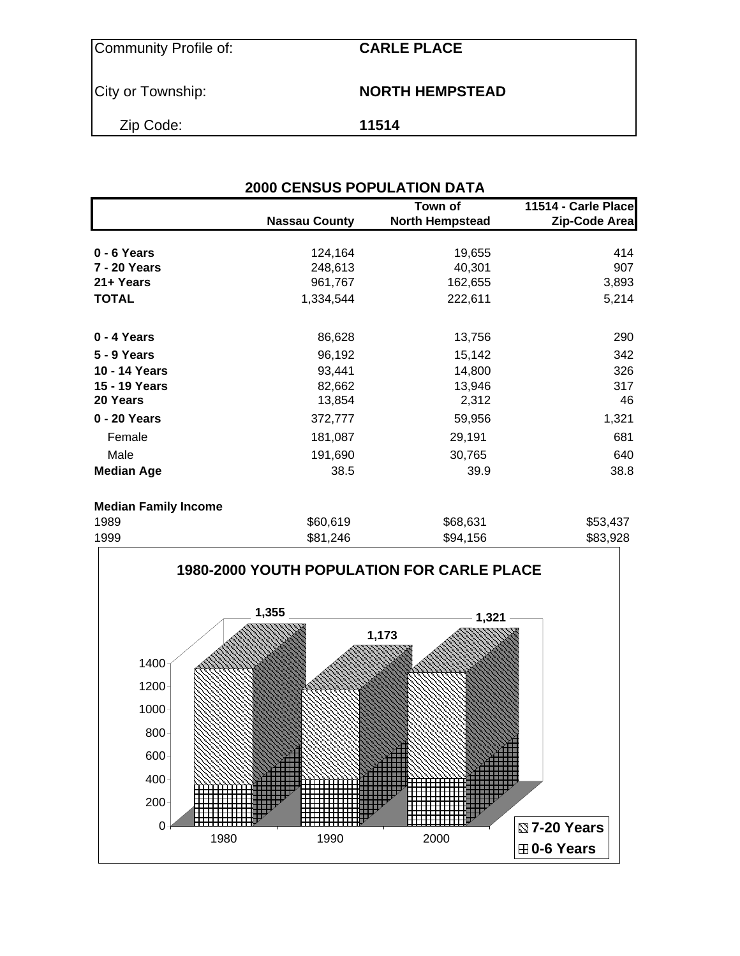Community Profile of: **CARLE PLACE**

City or Township: **NORTH HEMPSTEAD** 

Zip Code: **11514**

| <b>2000 CENSUS POPULATION DATA</b> |                      |                                   |                                      |  |  |  |
|------------------------------------|----------------------|-----------------------------------|--------------------------------------|--|--|--|
|                                    | <b>Nassau County</b> | Town of<br><b>North Hempstead</b> | 11514 - Carle Place<br>Zip-Code Area |  |  |  |
| 0 - 6 Years                        | 124,164              | 19,655                            | 414                                  |  |  |  |
| 7 - 20 Years                       | 248,613              | 40,301                            | 907                                  |  |  |  |
| 21+ Years                          | 961,767              | 162,655                           | 3,893                                |  |  |  |
| <b>TOTAL</b>                       | 1,334,544            | 222,611                           | 5,214                                |  |  |  |
| 0 - 4 Years                        | 86,628               | 13,756                            | 290                                  |  |  |  |
| <b>5 - 9 Years</b>                 | 96,192               | 15,142                            | 342                                  |  |  |  |
| 10 - 14 Years                      | 93,441               | 14,800                            | 326                                  |  |  |  |
| 15 - 19 Years                      | 82,662               | 13,946                            | 317                                  |  |  |  |
| 20 Years                           | 13,854               | 2,312                             | 46                                   |  |  |  |
| 0 - 20 Years                       | 372,777              | 59,956                            | 1,321                                |  |  |  |
| Female                             | 181,087              | 29,191                            | 681                                  |  |  |  |
| Male                               | 191,690              | 30,765                            | 640                                  |  |  |  |
| <b>Median Age</b>                  | 38.5                 | 39.9                              | 38.8                                 |  |  |  |
| <b>Median Family Income</b>        |                      |                                   |                                      |  |  |  |
| 1989                               | \$60,619             | \$68,631                          | \$53,437                             |  |  |  |
| חחמי                               | 001 OAG              | 0.115C                            | രോ റാറ                               |  |  |  |

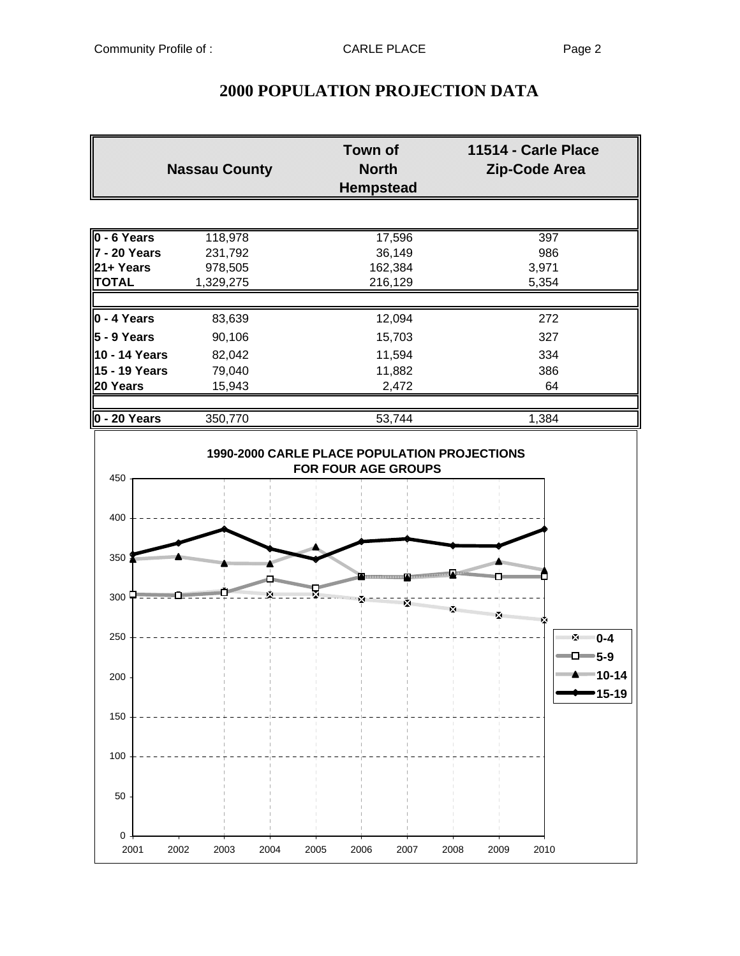|               | <b>Nassau County</b> | <b>Town of</b><br>North<br><b>Hempstead</b>                                | 11514 - Carle Place<br>Zip-Code Area |
|---------------|----------------------|----------------------------------------------------------------------------|--------------------------------------|
|               |                      |                                                                            |                                      |
| $0 - 6$ Years | 118,978              | 17,596                                                                     | 397                                  |
| 7 - 20 Years  | 231,792              | 36,149                                                                     | 986                                  |
| 21+ Years     | 978,505              | 162,384                                                                    | 3,971                                |
| <b>TOTAL</b>  | 1,329,275            | 216,129                                                                    | 5,354                                |
|               |                      |                                                                            |                                      |
| $0 - 4$ Years | 83,639               | 12,094                                                                     | 272                                  |
| $5 - 9$ Years | 90,106               | 15,703                                                                     | 327                                  |
| 10 - 14 Years | 82,042               | 11,594                                                                     | 334                                  |
| 15 - 19 Years | 79,040               | 11,882                                                                     | 386                                  |
| 20 Years      | 15,943               | 2,472                                                                      | 64                                   |
|               |                      |                                                                            |                                      |
| 0 - 20 Years  | 350,770              | 53,744                                                                     | 1,384                                |
|               |                      | 1990-2000 CARLE PLACE POPULATION PROJECTIONS<br><b>FOR FOUR AGE GROUPS</b> |                                      |
| 450           |                      |                                                                            |                                      |

## **2000 POPULATION PROJECTION DATA**

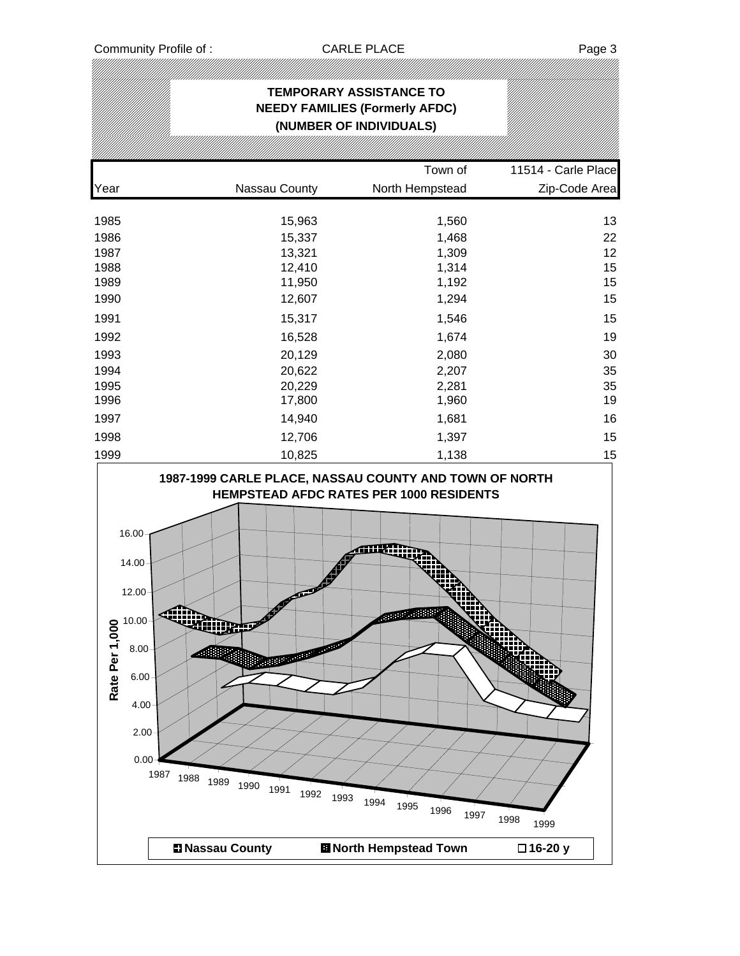|                                                                                                                   |                                                                                    | <b>TEMPORARY ASSISTANCE TO</b><br><b>NEEDY FAMILIES (Formerly AFDC)</b><br>(NUMBER OF INDIVIDUALS) |                     |
|-------------------------------------------------------------------------------------------------------------------|------------------------------------------------------------------------------------|----------------------------------------------------------------------------------------------------|---------------------|
|                                                                                                                   |                                                                                    |                                                                                                    |                     |
|                                                                                                                   |                                                                                    | Town of                                                                                            | 11514 - Carle Place |
| Year                                                                                                              | Nassau County                                                                      | North Hempstead                                                                                    | Zip-Code Area       |
| 1985                                                                                                              | 15,963                                                                             | 1,560                                                                                              | 13                  |
| 1986                                                                                                              | 15,337                                                                             | 1,468                                                                                              | 22                  |
| 1987                                                                                                              | 13,321                                                                             | 1,309                                                                                              | 12                  |
| 1988                                                                                                              | 12,410                                                                             | 1,314                                                                                              | 15                  |
| 1989                                                                                                              | 11,950                                                                             | 1,192                                                                                              | 15                  |
| 1990                                                                                                              | 12,607                                                                             | 1,294                                                                                              | 15                  |
| 1991                                                                                                              | 15,317                                                                             | 1,546                                                                                              | 15                  |
| 1992                                                                                                              | 16,528                                                                             | 1,674                                                                                              | 19                  |
| 1993                                                                                                              | 20,129                                                                             | 2,080                                                                                              | 30                  |
| 1994                                                                                                              | 20,622                                                                             | 2,207                                                                                              | 35                  |
| 1995                                                                                                              | 20,229                                                                             | 2,281                                                                                              | 35                  |
| 1996                                                                                                              | 17,800                                                                             | 1,960                                                                                              | 19                  |
| 1997                                                                                                              | 14,940                                                                             | 1,681                                                                                              | 16                  |
| 1998                                                                                                              | 12,706                                                                             | 1,397                                                                                              | 15                  |
| 1999                                                                                                              | 10,825                                                                             | 1,138                                                                                              | 15                  |
| 16.00<br>14.00<br>12.00<br>10.00<br>Rate Per 1,00<br>8.00<br>6.00<br>4.00<br>2.00<br>0.00<br>1987<br>1988<br>1989 | $\sigma^{\sigma}$<br><b>AND REPORT AND RESERVE</b><br>1990<br>1991<br>1992<br>1993 | <b>MARK AND</b><br>1994<br>1995<br>1996<br>1997                                                    | 1998                |
|                                                                                                                   | <b>El Nassau County</b>                                                            | <b>El North Hempstead Town</b>                                                                     | 1999<br>□16-20 y    |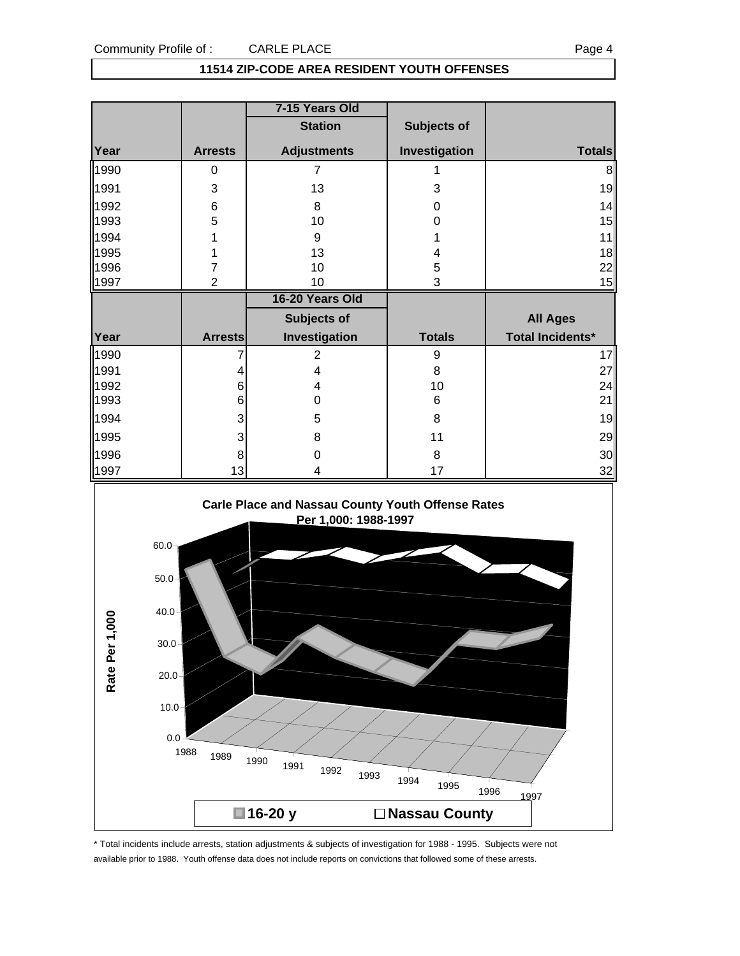#### **11514 ZIP-CODE AREA RESIDENT YOUTH OFFENSES**

|      |                | 7-15 Years Old     |               |                         |
|------|----------------|--------------------|---------------|-------------------------|
|      |                | <b>Station</b>     | Subjects of   |                         |
| Year | <b>Arrests</b> | <b>Adjustments</b> | Investigation | <b>Totals</b>           |
| 1990 | 0              | 7                  |               | 8                       |
| 1991 | 3              | 13                 | 3             | 19                      |
| 1992 | 6              | 8                  | 0             | 14                      |
| 1993 | 5              | 10                 | 0             | 15                      |
| 1994 |                | 9                  |               | 11                      |
| 1995 |                | 13                 | 4             | 18                      |
| 1996 | 7              | 10                 | 5             | 22                      |
| 1997 | $\overline{2}$ | 10                 | 3             | 15                      |
|      |                |                    |               |                         |
|      |                | 16-20 Years Old    |               |                         |
|      |                | <b>Subjects of</b> |               | <b>All Ages</b>         |
| Year | <b>Arrests</b> | Investigation      | <b>Totals</b> | <b>Total Incidents*</b> |
| 1990 |                | $\overline{2}$     | 9             | 17                      |
| 1991 | 4              | 4                  | 8             | 27                      |
| 1992 | 6              | 4                  | 10            | 24                      |
| 1993 | 6              | 0                  | 6             | 21                      |
| 1994 | 3              | 5                  | 8             | 19                      |
| 1995 | 3              | 8                  | 11            | 29                      |
| 1996 | 8              | 0                  | 8             | 30                      |



\* Total incidents include arrests, station adjustments & subjects of investigation for 1988 - 1995. Subjects were not available prior to 1988. Youth offense data does not include reports on convictions that followed some of these arrests.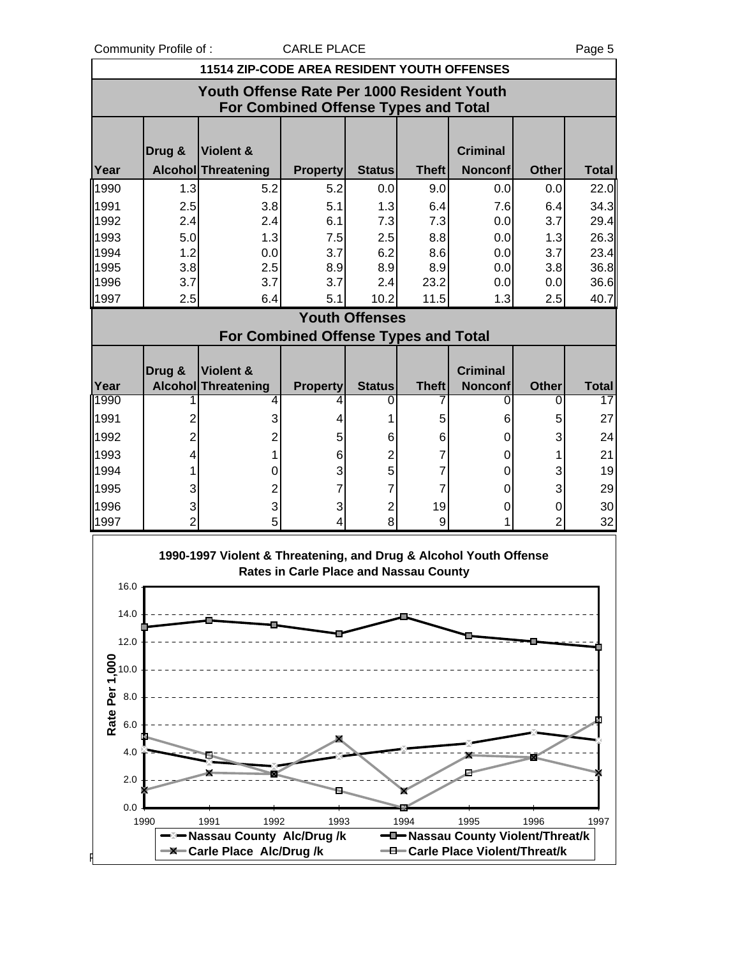Community Profile of : CARLE PLACE COMMUNITY Profile of :

|                                                                                                                            | 11514 ZIP-CODE AREA RESIDENT YOUTH OFFENSES                                        |                                  |                                             |                       |              |                                   |                |              |
|----------------------------------------------------------------------------------------------------------------------------|------------------------------------------------------------------------------------|----------------------------------|---------------------------------------------|-----------------------|--------------|-----------------------------------|----------------|--------------|
|                                                                                                                            | Youth Offense Rate Per 1000 Resident Youth<br>For Combined Offense Types and Total |                                  |                                             |                       |              |                                   |                |              |
|                                                                                                                            | Drug &                                                                             | <b>Violent &amp;</b>             |                                             |                       |              | <b>Criminal</b>                   |                |              |
| Year                                                                                                                       |                                                                                    | <b>Alcohol Threatening</b>       | <b>Property</b>                             | <b>Status</b>         | <b>Theft</b> | <b>Nonconf</b>                    | <b>Other</b>   | <b>Total</b> |
| 1990                                                                                                                       | 1.3                                                                                | 5.2                              | 5.2                                         | 0.0                   | 9.0          | 0.0                               | 0.0            | 22.0         |
| 1991                                                                                                                       | 2.5                                                                                | 3.8                              | 5.1                                         | 1.3                   | 6.4          | 7.6                               | 6.4            | 34.3         |
| 1992                                                                                                                       | 2.4                                                                                | 2.4                              | 6.1                                         | 7.3                   | 7.3          | 0.0                               | 3.7            | 29.4         |
| 1993                                                                                                                       | 5.0                                                                                | 1.3                              | 7.5                                         | 2.5                   | 8.8          | 0.0                               | 1.3            | 26.3         |
| 1994                                                                                                                       | 1.2                                                                                | 0.0                              | 3.7                                         | 6.2                   | 8.6          | 0.0                               | 3.7            | 23.4         |
| 1995                                                                                                                       | 3.8                                                                                | 2.5                              | 8.9                                         | 8.9                   | 8.9          | 0.0                               | 3.8            | 36.8         |
| 1996                                                                                                                       | 3.7                                                                                | 3.7                              | 3.7                                         | 2.4                   | 23.2         | 0.0                               | 0.0            | 36.6         |
| 1997                                                                                                                       | 2.5                                                                                | 6.4                              | 5.1                                         | 10.2                  | 11.5         | 1.3                               | 2.5            | 40.7         |
|                                                                                                                            |                                                                                    |                                  | <b>For Combined Offense Types and Total</b> | <b>Youth Offenses</b> |              |                                   |                |              |
|                                                                                                                            |                                                                                    |                                  |                                             |                       |              |                                   |                |              |
| Year                                                                                                                       | Drug &                                                                             | Violent &<br>Alcohol Threatening | <b>Property</b>                             | <b>Status</b>         | <b>Theft</b> | <b>Criminal</b><br><b>Nonconf</b> | Other          | <b>Total</b> |
| 1990                                                                                                                       |                                                                                    | 4                                | 4                                           | 0                     | 7            | 0                                 | 0              | 17           |
| 1991                                                                                                                       | 2                                                                                  | 3                                | 4                                           | 1                     | 5            | 6                                 | 5              | 27           |
| 1992                                                                                                                       | $\overline{2}$                                                                     | $\overline{2}$                   | 5                                           | 6                     | 6            | 0                                 | 3              | 24           |
| 1993                                                                                                                       | 4                                                                                  | 1                                | 6                                           | 2                     | 7            | 0                                 | 1              | 21           |
| 1994                                                                                                                       | 1                                                                                  | 0                                | 3                                           | 5                     | 7            | 0                                 | 3              | 19           |
| 1995                                                                                                                       | 3                                                                                  | $\overline{2}$                   | 7                                           | 7                     | 7            | 0                                 | 3              | 29           |
| 1996                                                                                                                       | 3                                                                                  | 3                                | 3                                           | $\overline{2}$        | 19           | 0                                 | 0              | 30           |
| 1997                                                                                                                       | $\overline{2}$                                                                     | 5                                | 4                                           | 8                     | 9            | 1                                 | $\overline{2}$ | 32           |
| 1990-1997 Violent & Threatening, and Drug & Alcohol Youth Offense<br>Rates in Carle Place and Nassau County<br>16.0<br>140 |                                                                                    |                                  |                                             |                       |              |                                   |                |              |

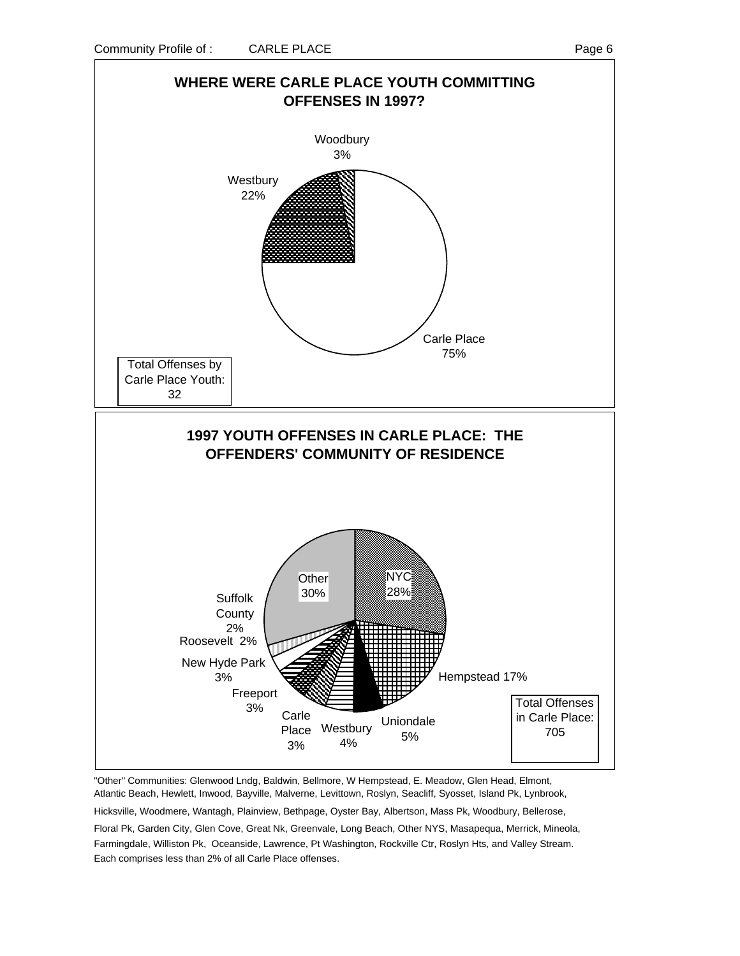

"Other" Communities: Glenwood Lndg, Baldwin, Bellmore, W Hempstead, E. Meadow, Glen Head, Elmont, Atlantic Beach, Hewlett, Inwood, Bayville, Malverne, Levittown, Roslyn, Seacliff, Syosset, Island Pk, Lynbrook,

Hicksville, Woodmere, Wantagh, Plainview, Bethpage, Oyster Bay, Albertson, Mass Pk, Woodbury, Bellerose,

Floral Pk, Garden City, Glen Cove, Great Nk, Greenvale, Long Beach, Other NYS, Masapequa, Merrick, Mineola, Farmingdale, Williston Pk, Oceanside, Lawrence, Pt Washington, Rockville Ctr, Roslyn Hts, and Valley Stream. Each comprises less than 2% of all Carle Place offenses.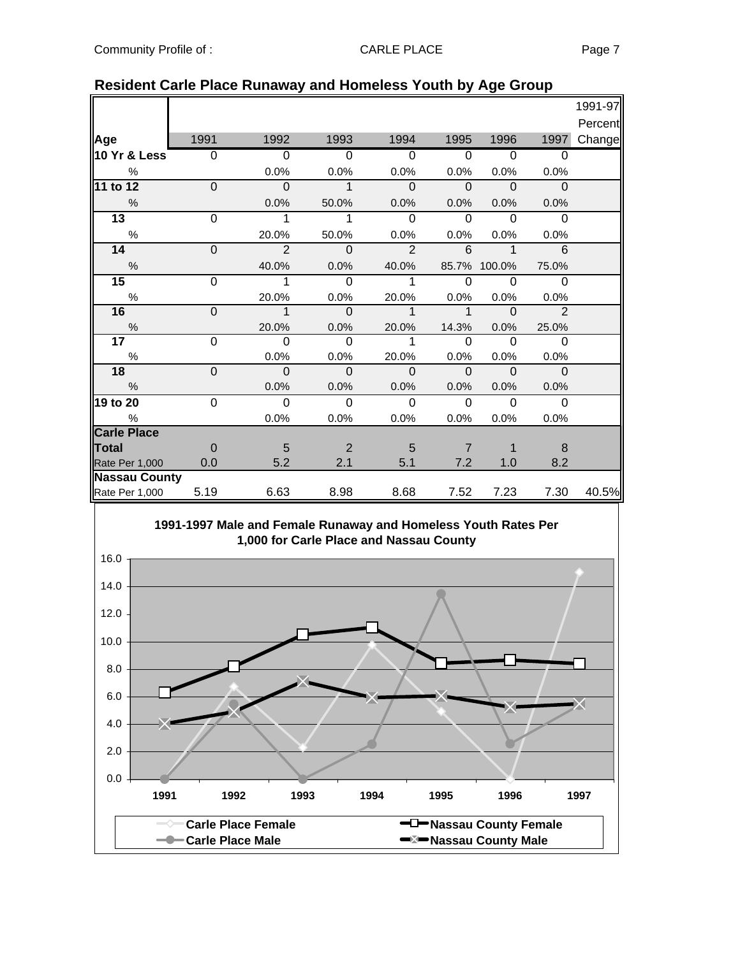|                      |                |                          |                          |                          |                            |                |                          | 1991-97 |
|----------------------|----------------|--------------------------|--------------------------|--------------------------|----------------------------|----------------|--------------------------|---------|
|                      |                |                          |                          |                          |                            |                |                          | Percent |
| Age                  | 1991           | 1992                     | 1993                     | 1994                     | 1995                       | 1996           | 1997                     | Change  |
| 10 Yr & Less         | 0              | $\Omega$                 | $\Omega$                 | $\overline{0}$           | $\Omega$                   | $\Omega$       | 0                        |         |
| %                    |                | 0.0%                     | 0.0%                     | 0.0%                     | 0.0%                       | 0.0%           | 0.0%                     |         |
| 11 to 12             | $\overline{0}$ | $\overline{\phantom{0}}$ | $\mathbf{1}$             | $\Omega$                 | $\Omega$                   | $\overline{0}$ | $\Omega$                 |         |
| $\frac{0}{0}$        |                | 0.0%                     | 50.0%                    | 0.0%                     | 0.0%                       | 0.0%           | 0.0%                     |         |
| 13                   | $\overline{0}$ | $\mathbf{1}$             | 1                        | $\mathbf 0$              | $\mathbf 0$                | $\Omega$       | $\mathbf 0$              |         |
| $\%$                 |                | 20.0%                    | 50.0%                    | 0.0%                     | 0.0%                       | 0.0%           | 0.0%                     |         |
| 14                   | $\overline{0}$ | $\overline{2}$           | $\mathbf 0$              | $\mathcal{P}$            | 6                          | $\mathbf{1}$   | 6                        |         |
| $\%$                 |                | 40.0%                    | 0.0%                     | 40.0%                    | 85.7%                      | 100.0%         | 75.0%                    |         |
| 15                   | 0              | 1                        | 0                        | 1                        | $\Omega$                   | $\Omega$       | $\Omega$                 |         |
| $\%$                 |                | 20.0%                    | 0.0%                     | 20.0%                    | 0.0%                       | 0.0%           | 0.0%                     |         |
| 16                   | $\overline{0}$ | $\overline{\phantom{1}}$ | $\overline{0}$           | $\overline{\phantom{a}}$ | $\overline{\phantom{1}}$ 1 | <u>ິດ</u>      | $\overline{\phantom{0}}$ |         |
| $\%$                 |                | 20.0%                    | 0.0%                     | 20.0%                    | 14.3%                      | 0.0%           | 25.0%                    |         |
| 17 <sub>1</sub>      | 0              | $\Omega$                 | 0                        | 1                        | $\Omega$                   | $\Omega$       | $\overline{0}$           |         |
| $\%$                 |                | 0.0%                     | 0.0%                     | 20.0%                    | 0.0%                       | 0.0%           | 0.0%                     |         |
| 18                   | $\mathbf{0}$   | $\overline{0}$           | $\overline{\phantom{0}}$ | $\mathbf{0}$             | $\mathbf 0$                | - 0            | $\mathbf{0}$             |         |
| $\frac{0}{0}$        |                | 0.0%                     | 0.0%                     | 0.0%                     | 0.0%                       | 0.0%           | 0.0%                     |         |
| 19 to 20             | 0              | $\mathbf 0$              | $\Omega$                 | $\Omega$                 | $\Omega$                   | $\Omega$       | $\Omega$                 |         |
| $\%$                 |                | 0.0%                     | 0.0%                     | 0.0%                     | 0.0%                       | 0.0%           | 0.0%                     |         |
| <b>Carle Place</b>   |                |                          |                          |                          |                            |                |                          |         |
| <b>Total</b>         | $\Omega$       | $\sqrt{5}$               | $\overline{2}$           | 5                        | $\overline{7}$             | 1              | 8                        |         |
| Rate Per 1,000       | 0.0            | 5.2                      | 2.1                      | 5.1                      | 7.2                        | 1.0            | 8.2                      |         |
| <b>Nassau County</b> |                |                          |                          |                          |                            |                |                          |         |
| Rate Per 1,000       | 5.19           | 6.63                     | 8.98                     | 8.68                     | 7.52                       | 7.23           | 7.30                     | 40.5%   |

#### **Resident Carle Place Runaway and Homeless Youth by Age Group**

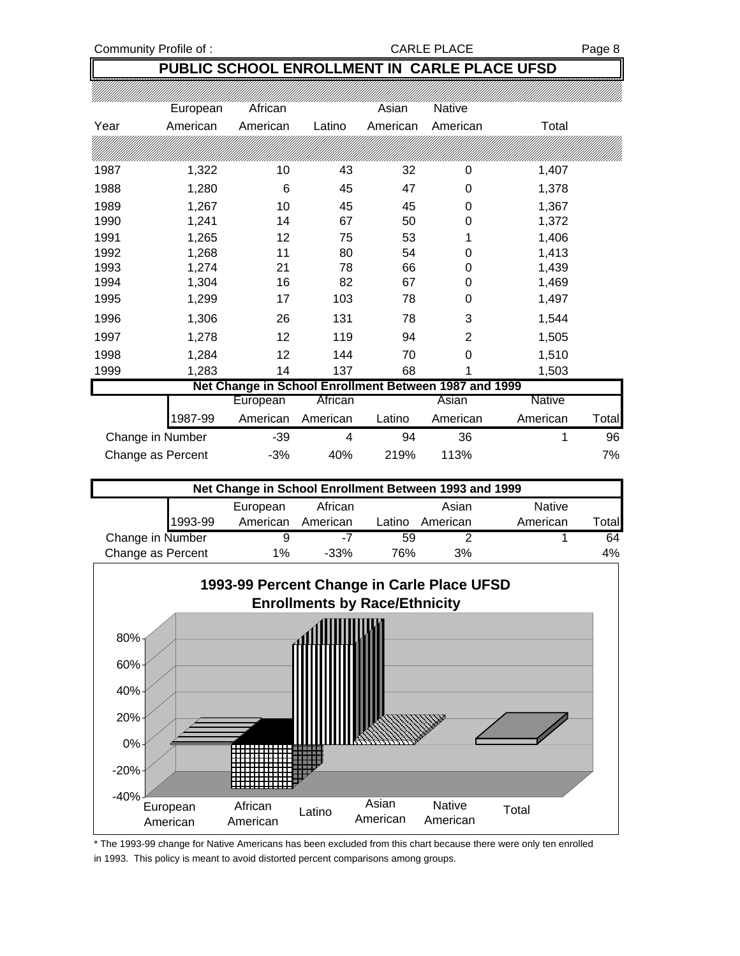Community Profile of : CARLE PLACE PLACE PLACE

### **PUBLIC SCHOOL ENROLLMENT IN CARLE PLACE UFSD**

|      | European          | African                                               |          | Asian    | Native   |               |       |
|------|-------------------|-------------------------------------------------------|----------|----------|----------|---------------|-------|
| Year | American          | American                                              | Latino   | American | American | Total         |       |
|      |                   |                                                       |          |          |          |               |       |
| 1987 | 1,322             | 10                                                    | 43       | 32       | 0        | 1,407         |       |
| 1988 | 1,280             | 6                                                     | 45       | 47       | 0        | 1,378         |       |
| 1989 | 1,267             | 10                                                    | 45       | 45       | 0        | 1,367         |       |
| 1990 | 1,241             | 14                                                    | 67       | 50       | 0        | 1,372         |       |
| 1991 | 1,265             | 12                                                    | 75       | 53       | 1        | 1,406         |       |
| 1992 | 1,268             | 11                                                    | 80       | 54       | 0        | 1,413         |       |
| 1993 | 1,274             | 21                                                    | 78       | 66       | 0        | 1,439         |       |
| 1994 | 1,304             | 16                                                    | 82       | 67       | 0        | 1,469         |       |
| 1995 | 1,299             | 17                                                    | 103      | 78       | 0        | 1,497         |       |
| 1996 | 1,306             | 26                                                    | 131      | 78       | 3        | 1,544         |       |
| 1997 | 1,278             | 12                                                    | 119      | 94       | 2        | 1,505         |       |
| 1998 | 1,284             | 12                                                    | 144      | 70       | 0        | 1,510         |       |
| 1999 | 1,283             | 14                                                    | 137      | 68       |          | 1,503         |       |
|      |                   | Net Change in School Enrollment Between 1987 and 1999 |          |          |          |               |       |
|      |                   | European                                              | African  |          | Asian    | <b>Native</b> |       |
|      | 1987-99           | American                                              | American | Latino   | American | American      | Total |
|      | Change in Number  | $-39$                                                 | 4        | 94       | 36       | 1             | 96    |
|      | Change as Percent | -3%                                                   | 40%      | 219%     | 113%     |               | 7%    |

|                   |         | Net Change in School Enrollment Between 1993 and 1999 |          |        |          |               |        |
|-------------------|---------|-------------------------------------------------------|----------|--------|----------|---------------|--------|
|                   |         | European                                              | African  |        | Asian    | <b>Native</b> |        |
|                   | 1993-99 | American                                              | American | Latino | American | American      | Γotall |
| Change in Number  |         |                                                       | -7       | 59     |          |               | 64     |
| Change as Percent |         | $1\%$                                                 | $-33\%$  | 76%    | 3%       |               | $4\%$  |



\* The 1993-99 change for Native Americans has been excluded from this chart because there were only ten enrolled in 1993. This policy is meant to avoid distorted percent comparisons among groups.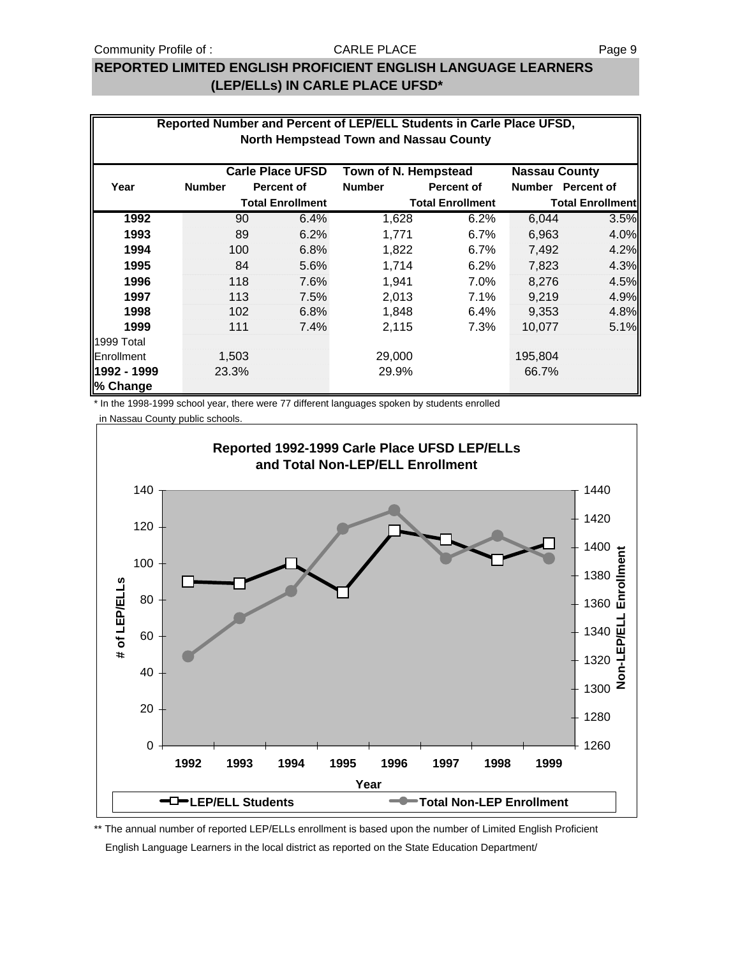### **REPORTED LIMITED ENGLISH PROFICIENT ENGLISH LANGUAGE LEARNERS (LEP/ELLs) IN CARLE PLACE UFSD\***

|                         |                                                                         |                         | Reported Number and Percent of LEP/ELL Students in Carle Place UFSD,<br>North Hempstead Town and Nassau County |                         |         |                         |  |  |  |  |  |
|-------------------------|-------------------------------------------------------------------------|-------------------------|----------------------------------------------------------------------------------------------------------------|-------------------------|---------|-------------------------|--|--|--|--|--|
|                         | <b>Carle Place UFSD</b><br>Town of N. Hempstead<br><b>Nassau County</b> |                         |                                                                                                                |                         |         |                         |  |  |  |  |  |
| Year                    | <b>Number</b>                                                           | <b>Percent of</b>       | <b>Number</b>                                                                                                  | <b>Percent of</b>       |         | Number Percent of       |  |  |  |  |  |
|                         |                                                                         | <b>Total Enrollment</b> |                                                                                                                | <b>Total Enrollment</b> |         | <b>Total Enrollment</b> |  |  |  |  |  |
| 1992                    | 90                                                                      | 6.4%                    | 1,628                                                                                                          | 6.2%                    | 6,044   | 3.5%                    |  |  |  |  |  |
| 1993                    | 89                                                                      | 6.2%                    | 1,771                                                                                                          | 6.7%                    | 6,963   | 4.0%                    |  |  |  |  |  |
| 1994                    | 100                                                                     | 6.8%                    | 1,822                                                                                                          | 6.7%                    | 7,492   | 4.2%                    |  |  |  |  |  |
| 1995                    | 84                                                                      | 5.6%                    | 1,714                                                                                                          | 6.2%                    | 7,823   | 4.3%                    |  |  |  |  |  |
| 1996                    | 118                                                                     | 7.6%                    | 1.941                                                                                                          | 7.0%                    | 8.276   | 4.5%                    |  |  |  |  |  |
| 1997                    | 113                                                                     | 7.5%                    | 2,013                                                                                                          | 7.1%                    | 9,219   | 4.9%                    |  |  |  |  |  |
| 1998                    | 102                                                                     | 6.8%                    | 1,848                                                                                                          | 6.4%                    | 9,353   | 4.8%                    |  |  |  |  |  |
| 1999                    | 111                                                                     | 7.4%                    | 2,115                                                                                                          | 7.3%                    | 10,077  | 5.1%                    |  |  |  |  |  |
| 1999 Total              |                                                                         |                         |                                                                                                                |                         |         |                         |  |  |  |  |  |
| Enrollment              | 1,503                                                                   |                         | 29,000                                                                                                         |                         | 195,804 |                         |  |  |  |  |  |
| 1992 - 1999<br>% Change | 23.3%                                                                   |                         | 29.9%                                                                                                          |                         | 66.7%   |                         |  |  |  |  |  |

\* In the 1998-1999 school year, there were 77 different languages spoken by students enrolled

in Nassau County public schools.



\*\* The annual number of reported LEP/ELLs enrollment is based upon the number of Limited English Proficient English Language Learners in the local district as reported on the State Education Department/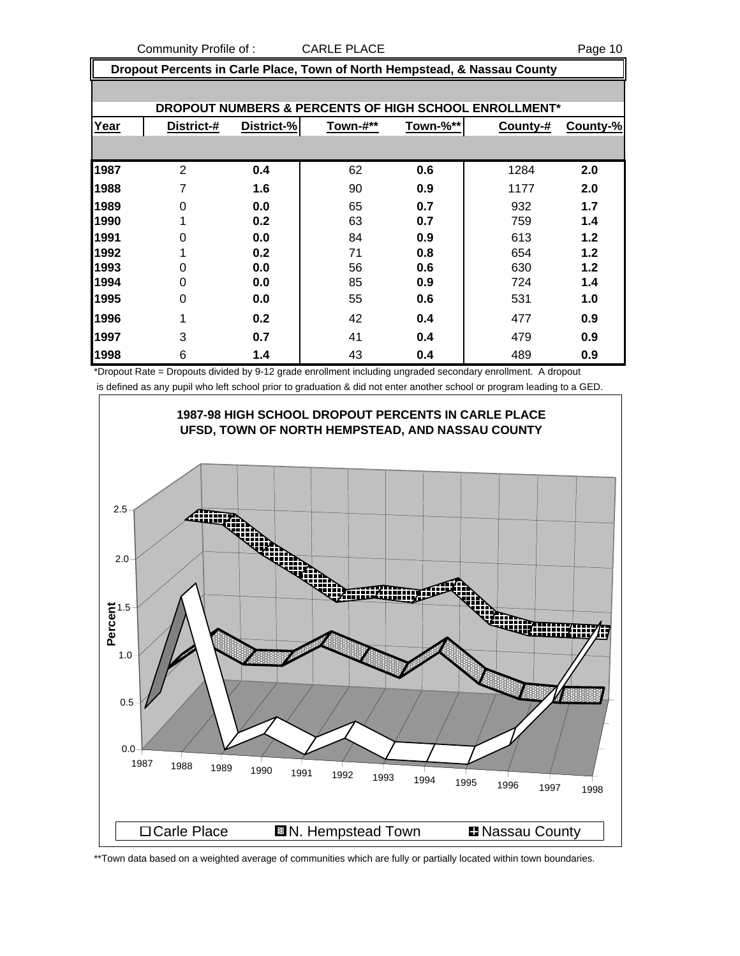Community Profile of : CARLE PLACE **PROFILLACE** Page 10

 **Dropout Percents in Carle Place, Town of North Hempstead, & Nassau County**

|      |                 |            |          |          | DROPOUT NUMBERS & PERCENTS OF HIGH SCHOOL ENROLLMENT* |          |
|------|-----------------|------------|----------|----------|-------------------------------------------------------|----------|
| Year | District-#      | District-% | Town-#** | Town-%** | County-#                                              | County-% |
|      |                 |            |          |          |                                                       |          |
| 1987 | $\overline{2}$  | 0.4        | 62       | 0.6      | 1284                                                  | 2.0      |
| 1988 | 7               | 1.6        | 90       | 0.9      | 1177                                                  | 2.0      |
| 1989 | 0               | 0.0        | 65       | 0.7      | 932                                                   | 1.7      |
| 1990 |                 | 0.2        | 63       | 0.7      | 759                                                   | 1.4      |
| 1991 | $\Omega$        | 0.0        | 84       | 0.9      | 613                                                   | 1.2      |
| 1992 |                 | 0.2        | 71       | 0.8      | 654                                                   | 1.2      |
| 1993 | 0               | 0.0        | 56       | 0.6      | 630                                                   | 1.2      |
| 1994 | $\Omega$        | 0.0        | 85       | 0.9      | 724                                                   | 1.4      |
| 1995 | 0               | 0.0        | 55       | 0.6      | 531                                                   | 1.0      |
| 1996 |                 | 0.2        | 42       | 0.4      | 477                                                   | 0.9      |
| 1997 | 3               | 0.7        | 41       | 0.4      | 479                                                   | 0.9      |
| 1998 | $6\phantom{1}6$ | 1.4        | 43       | 0.4      | 489                                                   | 0.9      |

\*Dropout Rate = Dropouts divided by 9-12 grade enrollment including ungraded secondary enrollment. A dropout is defined as any pupil who left school prior to graduation & did not enter another school or program leading to a GED.



\*\*Town data based on a weighted average of communities which are fully or partially located within town boundaries.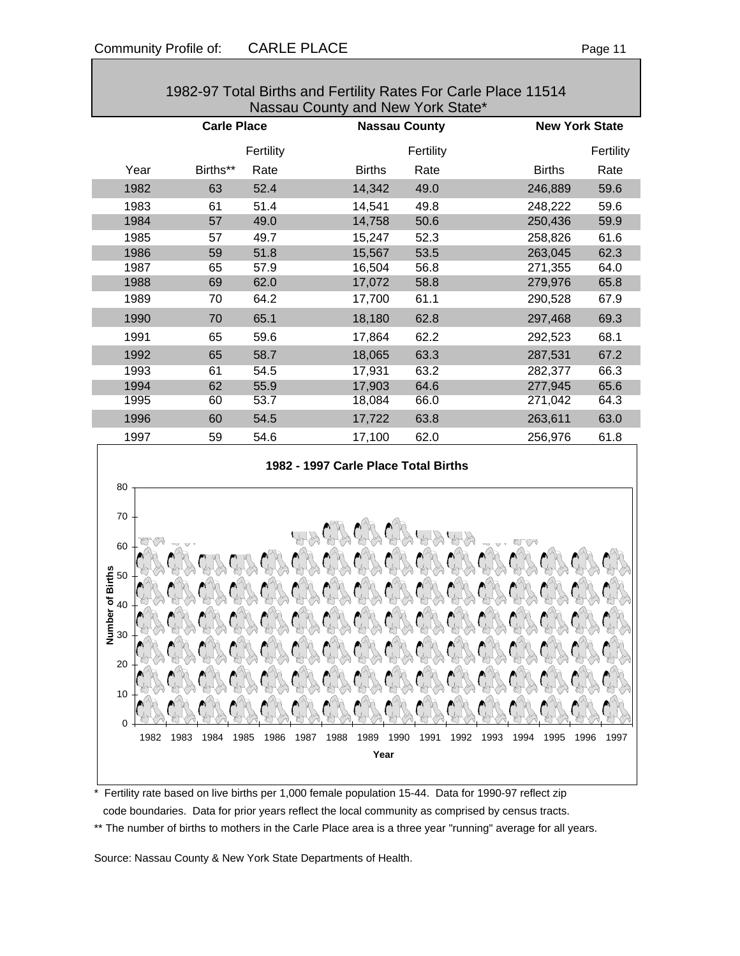|      |                    |           | Nassau County and New York State*    |                      |                       |           |
|------|--------------------|-----------|--------------------------------------|----------------------|-----------------------|-----------|
|      | <b>Carle Place</b> |           |                                      | <b>Nassau County</b> | <b>New York State</b> |           |
|      |                    | Fertility |                                      | Fertility            |                       | Fertility |
| Year | Births**           | Rate      | <b>Births</b>                        | Rate                 | <b>Births</b>         | Rate      |
| 1982 | 63                 | 52.4      | 14,342                               | 49.0                 | 246,889               | 59.6      |
| 1983 | 61                 | 51.4      | 14.541                               | 49.8                 | 248,222               | 59.6      |
| 1984 | 57                 | 49.0      | 14,758                               | 50.6                 | 250,436               | 59.9      |
| 1985 | 57                 | 49.7      | 15,247                               | 52.3                 | 258,826               | 61.6      |
| 1986 | 59                 | 51.8      | 15,567                               | 53.5                 | 263,045               | 62.3      |
| 1987 | 65                 | 57.9      | 16.504                               | 56.8                 | 271,355               | 64.0      |
| 1988 | 69                 | 62.0      | 17,072                               | 58.8                 | 279,976               | 65.8      |
| 1989 | 70                 | 64.2      | 17,700                               | 61.1                 | 290,528               | 67.9      |
| 1990 | 70                 | 65.1      | 18,180                               | 62.8                 | 297,468               | 69.3      |
| 1991 | 65                 | 59.6      | 17,864                               | 62.2                 | 292,523               | 68.1      |
| 1992 | 65                 | 58.7      | 18,065                               | 63.3                 | 287,531               | 67.2      |
| 1993 | 61                 | 54.5      | 17,931                               | 63.2                 | 282,377               | 66.3      |
| 1994 | 62                 | 55.9      | 17,903                               | 64.6                 | 277,945               | 65.6      |
| 1995 | 60                 | 53.7      | 18,084                               | 66.0                 | 271,042               | 64.3      |
| 1996 | 60                 | 54.5      | 17,722                               | 63.8                 | 263,611               | 63.0      |
| 1997 | 59                 | 54.6      | 17,100                               | 62.0                 | 256,976               | 61.8      |
|      |                    |           | 1982 - 1997 Carle Place Total Births |                      |                       |           |
| 80   |                    |           |                                      |                      |                       |           |





\* Fertility rate based on live births per 1,000 female population 15-44. Data for 1990-97 reflect zip code boundaries. Data for prior years reflect the local community as comprised by census tracts.

\*\* The number of births to mothers in the Carle Place area is a three year "running" average for all years.

Source: Nassau County & New York State Departments of Health.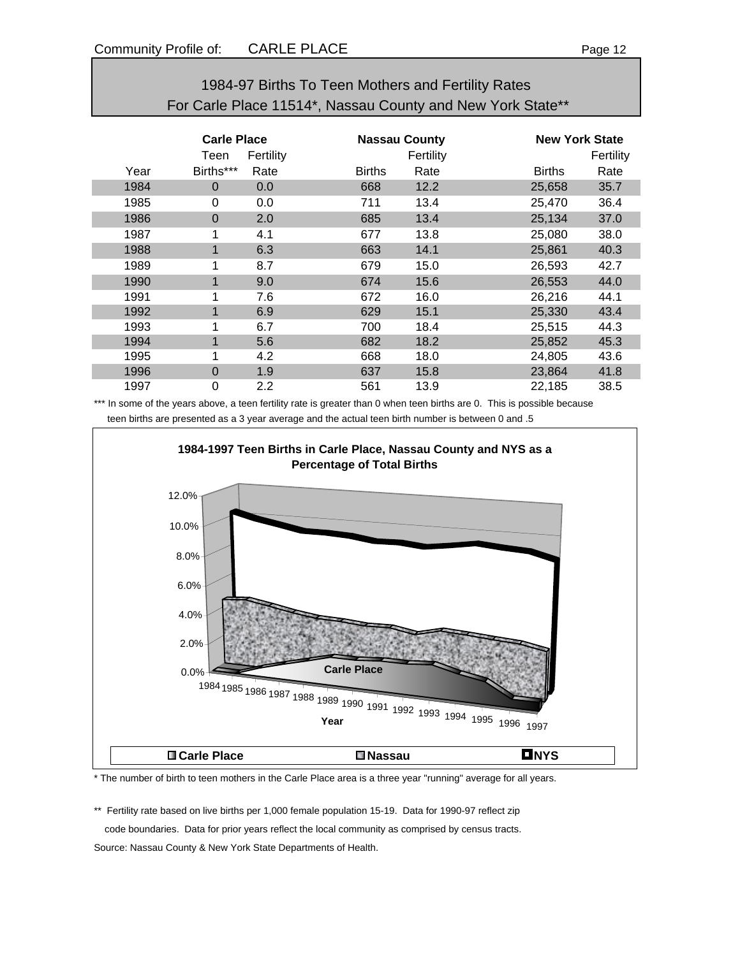| 1984-97 Births To Teen Mothers and Fertility Rates         |
|------------------------------------------------------------|
| For Carle Place 11514*, Nassau County and New York State** |

|      | <b>Carle Place</b><br>Fertility<br>Teen |      |               | <b>Nassau County</b><br>Fertility |               | <b>New York State</b><br>Fertility |  |
|------|-----------------------------------------|------|---------------|-----------------------------------|---------------|------------------------------------|--|
| Year | Births***                               | Rate | <b>Births</b> | Rate                              | <b>Births</b> | Rate                               |  |
| 1984 | $\Omega$                                | 0.0  | 668           | 12.2                              | 25,658        | 35.7                               |  |
| 1985 | 0                                       | 0.0  | 711           | 13.4                              | 25,470        | 36.4                               |  |
| 1986 | $\mathbf 0$                             | 2.0  | 685           | 13.4                              | 25,134        | 37.0                               |  |
| 1987 | 1                                       | 4.1  | 677           | 13.8                              | 25,080        | 38.0                               |  |
| 1988 | $\mathbf{1}$                            | 6.3  | 663           | 14.1                              | 25,861        | 40.3                               |  |
| 1989 |                                         | 8.7  | 679           | 15.0                              | 26,593        | 42.7                               |  |
| 1990 |                                         | 9.0  | 674           | 15.6                              | 26,553        | 44.0                               |  |
| 1991 | 1                                       | 7.6  | 672           | 16.0                              | 26,216        | 44.1                               |  |
| 1992 | 1                                       | 6.9  | 629           | 15.1                              | 25,330        | 43.4                               |  |
| 1993 | 1                                       | 6.7  | 700           | 18.4                              | 25,515        | 44.3                               |  |
| 1994 | $\mathbf 1$                             | 5.6  | 682           | 18.2                              | 25,852        | 45.3                               |  |
| 1995 |                                         | 4.2  | 668           | 18.0                              | 24,805        | 43.6                               |  |
| 1996 | $\Omega$                                | 1.9  | 637           | 15.8                              | 23,864        | 41.8                               |  |
| 1997 | 0                                       | 2.2  | 561           | 13.9                              | 22,185        | 38.5                               |  |

\*\*\* In some of the years above, a teen fertility rate is greater than 0 when teen births are 0. This is possible because teen births are presented as a 3 year average and the actual teen birth number is between 0 and .5



\* The number of birth to teen mothers in the Carle Place area is a three year "running" average for all years.

\*\* Fertility rate based on live births per 1,000 female population 15-19. Data for 1990-97 reflect zip code boundaries. Data for prior years reflect the local community as comprised by census tracts. Source: Nassau County & New York State Departments of Health.